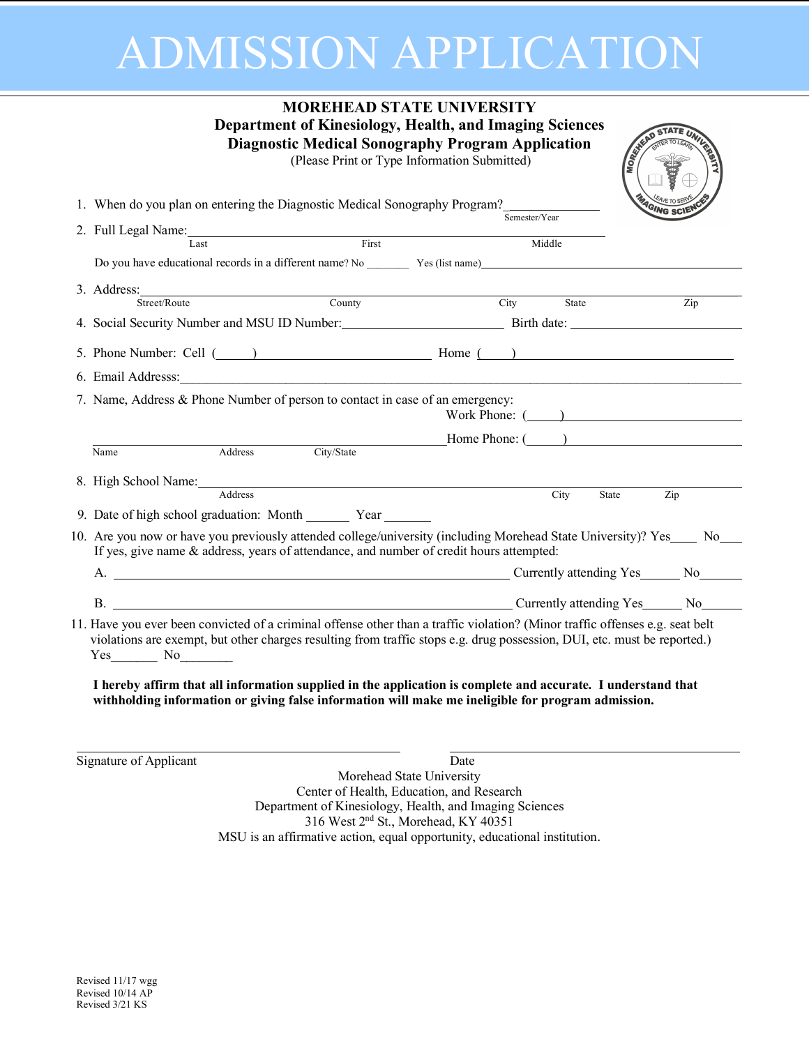# ADMISSION APPLICATION

| <b>MOREHEAD STATE UNIVERSITY</b><br>Department of Kinesiology, Health, and Imaging Sciences<br>MOREKK<br><b>Diagnostic Medical Sonography Program Application</b><br>(Please Print or Type Information Submitted)                                                                                                                                                                                                                                                                                    |                           |               |                 |
|------------------------------------------------------------------------------------------------------------------------------------------------------------------------------------------------------------------------------------------------------------------------------------------------------------------------------------------------------------------------------------------------------------------------------------------------------------------------------------------------------|---------------------------|---------------|-----------------|
| 1. When do you plan on entering the Diagnostic Medical Sonography Program?                                                                                                                                                                                                                                                                                                                                                                                                                           |                           |               | <b>AGING SC</b> |
|                                                                                                                                                                                                                                                                                                                                                                                                                                                                                                      |                           | Semester/Year |                 |
| 2. Full Legal Name: Last First                                                                                                                                                                                                                                                                                                                                                                                                                                                                       |                           | Middle        |                 |
|                                                                                                                                                                                                                                                                                                                                                                                                                                                                                                      |                           |               |                 |
| 3. Address: Street/Route County                                                                                                                                                                                                                                                                                                                                                                                                                                                                      |                           |               |                 |
|                                                                                                                                                                                                                                                                                                                                                                                                                                                                                                      |                           | City          | State<br>Zip    |
| 4. Social Security Number and MSU ID Number: Birth date: ________________________                                                                                                                                                                                                                                                                                                                                                                                                                    |                           |               |                 |
| 5. Phone Number: Cell $($                                                                                                                                                                                                                                                                                                                                                                                                                                                                            |                           |               |                 |
| 6. Email Addresss: The Contract of the Contract of the Contract of the Contract of the Contract of the Contract of the Contract of the Contract of the Contract of the Contract of the Contract of the Contract of the Contrac                                                                                                                                                                                                                                                                       |                           |               |                 |
| 7. Name, Address & Phone Number of person to contact in case of an emergency:                                                                                                                                                                                                                                                                                                                                                                                                                        |                           |               | Work Phone: ( ) |
| Address<br>Name                                                                                                                                                                                                                                                                                                                                                                                                                                                                                      | City/State                |               | Home Phone: ( ) |
|                                                                                                                                                                                                                                                                                                                                                                                                                                                                                                      |                           |               |                 |
| 8. High School Name: Address                                                                                                                                                                                                                                                                                                                                                                                                                                                                         |                           | City          | Zip<br>State    |
| 9. Date of high school graduation: Month ________ Year _______                                                                                                                                                                                                                                                                                                                                                                                                                                       |                           |               |                 |
| 10. Are you now or have you previously attended college/university (including Morehead State University)? Yes ____ No_<br>If yes, give name & address, years of attendance, and number of credit hours attempted:<br>A. Currently attending Yes No No.                                                                                                                                                                                                                                               |                           |               |                 |
| B. Currently attending Yes No                                                                                                                                                                                                                                                                                                                                                                                                                                                                        |                           |               |                 |
| 11. Have you ever been convicted of a criminal offense other than a traffic violation? (Minor traffic offenses e.g. seat belt<br>violations are exempt, but other charges resulting from traffic stops e.g. drug possession, DUI, etc. must be reported.)<br>$Yes$ No $\qquad$<br>I hereby affirm that all information supplied in the application is complete and accurate. I understand that<br>withholding information or giving false information will make me ineligible for program admission. |                           |               |                 |
| Signature of Applicant                                                                                                                                                                                                                                                                                                                                                                                                                                                                               | Morehead State University | Date          |                 |

Morehead State University Center of Health, Education, and Research Department of Kinesiology, Health, and Imaging Sciences 316 West 2nd St., Morehead, KY 40351 MSU is an affirmative action, equal opportunity, educational institution.